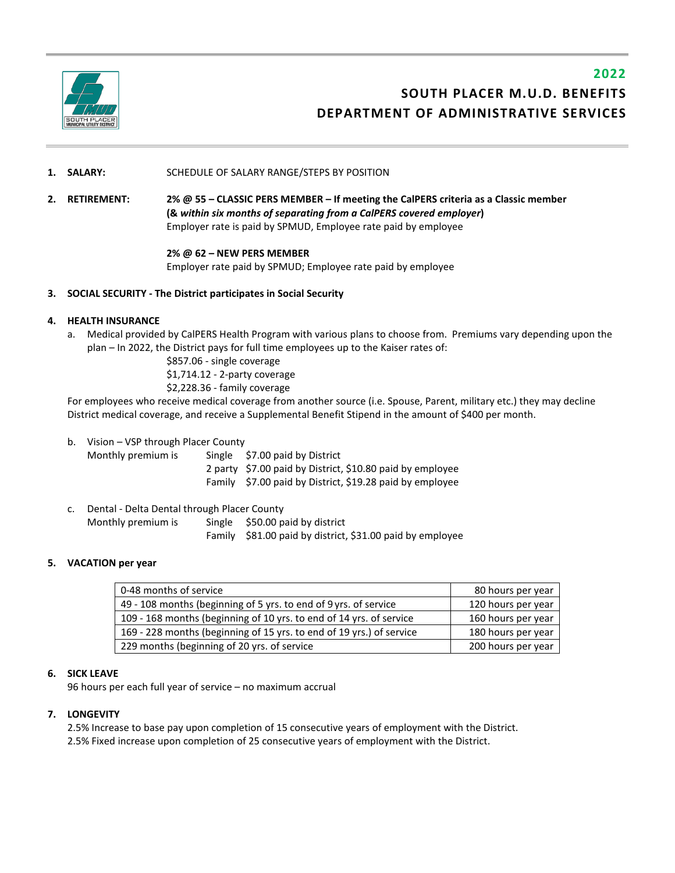

# **2022 SOUTH PLACER M.U.D. BENEFITS DEPARTMENT OF ADMINISTRATIVE SERVICES**

## **1. SALARY:** SCHEDULE OF SALARY RANGE/STEPS BY POSITION

**2. RETIREMENT: 2% @ 55 – CLASSIC PERS MEMBER – If meeting the CalPERS criteria as a Classic member (&** *within six months of separating from a CalPERS covered employer***)** Employer rate is paid by SPMUD, Employee rate paid by employee

## **2% @ 62 – NEW PERS MEMBER**

Employer rate paid by SPMUD; Employee rate paid by employee

## **3. SOCIAL SECURITY - The District participates in Social Security**

## **4. HEALTH INSURANCE**

a. Medical provided by CalPERS Health Program with various plans to choose from. Premiums vary depending upon the plan – In 2022, the District pays for full time employees up to the Kaiser rates of:

> \$857.06 - single coverage \$1,714.12 - 2-party coverage

\$2,228.36 - family coverage

For employees who receive medical coverage from another source (i.e. Spouse, Parent, military etc.) they may decline District medical coverage, and receive a Supplemental Benefit Stipend in the amount of \$400 per month.

b. Vision – VSP through Placer County

| Monthly premium is | Single \$7.00 paid by District                            |
|--------------------|-----------------------------------------------------------|
|                    | 2 party \$7.00 paid by District, \$10.80 paid by employee |
|                    | Family \$7.00 paid by District, \$19.28 paid by employee  |

c. Dental - Delta Dental through Placer County Monthly premium is Single \$50.00 paid by district Family \$81.00 paid by district, \$31.00 paid by employee

#### **5. VACATION per year**

| 0-48 months of service                                               | 80 hours per year  |
|----------------------------------------------------------------------|--------------------|
| 49 - 108 months (beginning of 5 yrs. to end of 9 yrs. of service     | 120 hours per year |
| 109 - 168 months (beginning of 10 yrs. to end of 14 yrs. of service  | 160 hours per year |
| 169 - 228 months (beginning of 15 yrs. to end of 19 yrs.) of service | 180 hours per year |
| 229 months (beginning of 20 yrs. of service                          | 200 hours per year |

## **6. SICK LEAVE**

96 hours per each full year of service – no maximum accrual

## **7. LONGEVITY**

2.5% Increase to base pay upon completion of 15 consecutive years of employment with the District. 2.5% Fixed increase upon completion of 25 consecutive years of employment with the District.